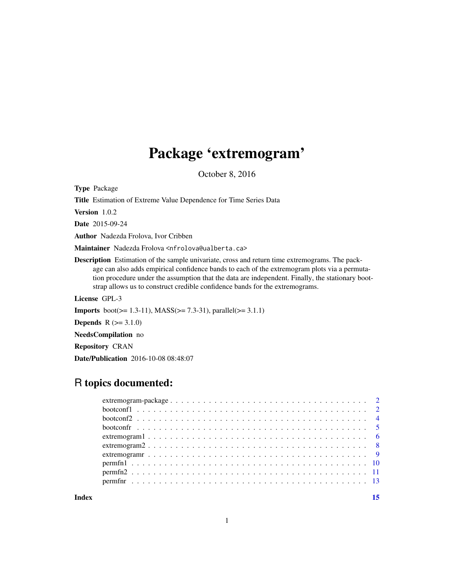## Package 'extremogram'

October 8, 2016

Type Package

Title Estimation of Extreme Value Dependence for Time Series Data

Version 1.0.2

Date 2015-09-24

Author Nadezda Frolova, Ivor Cribben

Maintainer Nadezda Frolova <nfrolova@ualberta.ca>

Description Estimation of the sample univariate, cross and return time extremograms. The package can also adds empirical confidence bands to each of the extremogram plots via a permutation procedure under the assumption that the data are independent. Finally, the stationary bootstrap allows us to construct credible confidence bands for the extremograms.

License GPL-3

**Imports** boot( $>= 1.3-11$ ), MASS( $>= 7.3-31$ ), parallel( $>= 3.1.1$ )

**Depends**  $R (= 3.1.0)$ 

NeedsCompilation no

Repository CRAN

Date/Publication 2016-10-08 08:48:07

## R topics documented:

| $extremogram2 \ldots  \ldots  \ldots  \ldots  \ldots  \ldots 8$ |  |
|-----------------------------------------------------------------|--|
|                                                                 |  |
|                                                                 |  |
|                                                                 |  |
|                                                                 |  |
|                                                                 |  |

**Index** [15](#page-14-0)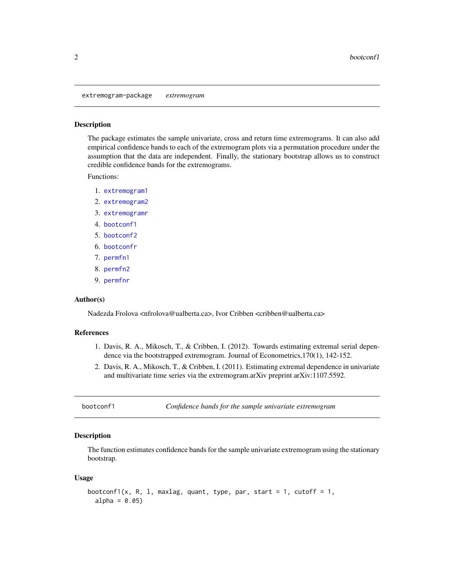<span id="page-1-0"></span>extremogram-package *extremogram*

#### Description

The package estimates the sample univariate, cross and return time extremograms. It can also add empirical confidence bands to each of the extremogram plots via a permutation procedure under the assumption that the data are independent. Finally, the stationary bootstrap allows us to construct credible confidence bands for the extremograms.

Functions:

- 1. [extremogram1](#page-5-1)
- 2. [extremogram2](#page-7-1)
- 3. [extremogramr](#page-8-1)
- 4. [bootconf1](#page-1-1)
- 5. [bootconf2](#page-3-1)
- 6. [bootconfr](#page-4-1)
- 7. [permfn1](#page-9-1)
- 8. [permfn2](#page-10-1)
- 9. [permfnr](#page-12-1)

#### Author(s)

Nadezda Frolova <nfrolova@ualberta.ca>, Ivor Cribben <cribben@ualberta.ca>

#### References

- 1. Davis, R. A., Mikosch, T., & Cribben, I. (2012). Towards estimating extremal serial dependence via the bootstrapped extremogram. Journal of Econometrics,170(1), 142-152.
- 2. Davis, R. A., Mikosch, T., & Cribben, I. (2011). Estimating extremal dependence in univariate and multivariate time series via the extremogram.arXiv preprint arXiv:1107.5592.

<span id="page-1-1"></span>bootconf1 *Confidence bands for the sample univariate extremogram*

#### **Description**

The function estimates confidence bands for the sample univariate extremogram using the stationary bootstrap.

#### Usage

```
bootconf1(x, R, 1, maxlag, quant, type, par, start = 1, cutoff = 1,
  alpha = 0.05)
```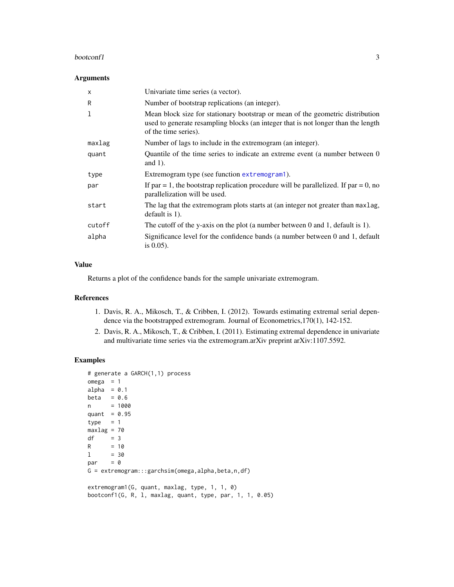#### <span id="page-2-0"></span>bootconf1 3

#### Arguments

| $\times$ | Univariate time series (a vector).                                                                                                                                                          |
|----------|---------------------------------------------------------------------------------------------------------------------------------------------------------------------------------------------|
| R        | Number of bootstrap replications (an integer).                                                                                                                                              |
| 1        | Mean block size for stationary bootstrap or mean of the geometric distribution<br>used to generate resampling blocks (an integer that is not longer than the length<br>of the time series). |
| maxlag   | Number of lags to include in the extremogram (an integer).                                                                                                                                  |
| quant    | Quantile of the time series to indicate an extreme event (a number between 0<br>and $1$ ).                                                                                                  |
| type     | Extremogram type (see function extremogram1).                                                                                                                                               |
| par      | If par = 1, the bootstrap replication procedure will be parallelized. If par = 0, no<br>parallelization will be used.                                                                       |
| start    | The lag that the extremogram plots starts at (an integer not greater than maxlag,<br>default is $1$ ).                                                                                      |
| cutoff   | The cutoff of the y-axis on the plot (a number between $0$ and $1$ , default is $1$ ).                                                                                                      |
| alpha    | Significance level for the confidence bands (a number between 0 and 1, default<br>is $0.05$ ).                                                                                              |

#### Value

Returns a plot of the confidence bands for the sample univariate extremogram.

#### References

- 1. Davis, R. A., Mikosch, T., & Cribben, I. (2012). Towards estimating extremal serial dependence via the bootstrapped extremogram. Journal of Econometrics,170(1), 142-152.
- 2. Davis, R. A., Mikosch, T., & Cribben, I. (2011). Estimating extremal dependence in univariate and multivariate time series via the extremogram.arXiv preprint arXiv:1107.5592.

#### Examples

```
# generate a GARCH(1,1) process
omega = 1alpha = 0.1beta = 0.6n = 1000
quant = 0.95type = 1maxlag = 70df = 3R = 101 = 30par = 0G = extremogram:::garchsim(omega, alpha, beta, n, df)
extremogram1(G, quant, maxlag, type, 1, 1, 0)
```
bootconf1(G, R, l, maxlag, quant, type, par, 1, 1, 0.05)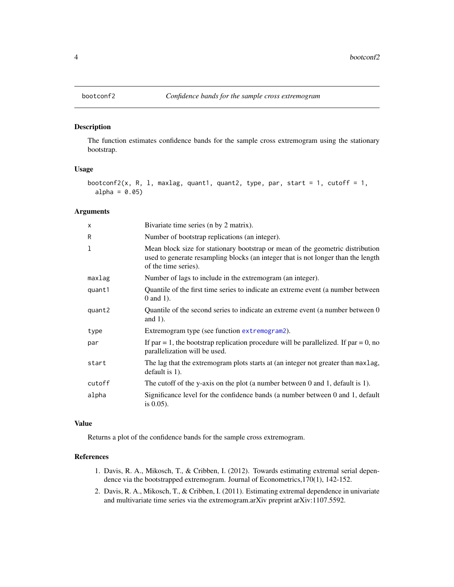<span id="page-3-1"></span><span id="page-3-0"></span>

#### Description

The function estimates confidence bands for the sample cross extremogram using the stationary bootstrap.

#### Usage

```
bootconf2(x, R, 1, maxlag, quant1, quant2, type, par, start = 1, cutoff = 1,
  alpha = 0.05
```
#### Arguments

| X      | Bivariate time series (n by 2 matrix).                                                                                                                                                      |
|--------|---------------------------------------------------------------------------------------------------------------------------------------------------------------------------------------------|
| R      | Number of bootstrap replications (an integer).                                                                                                                                              |
| 1      | Mean block size for stationary bootstrap or mean of the geometric distribution<br>used to generate resampling blocks (an integer that is not longer than the length<br>of the time series). |
| maxlag | Number of lags to include in the extremogram (an integer).                                                                                                                                  |
| quant1 | Quantile of the first time series to indicate an extreme event (a number between<br>0 and 1).                                                                                               |
| quant2 | Quantile of the second series to indicate an extreme event (a number between 0<br>and $1$ ).                                                                                                |
| type   | Extremogram type (see function extremogram2).                                                                                                                                               |
| par    | If par = 1, the bootstrap replication procedure will be parallelized. If par = 0, no<br>parallelization will be used.                                                                       |
| start  | The lag that the extremogram plots starts at (an integer not greater than maxlag,<br>default is 1).                                                                                         |
| cutoff | The cutoff of the y-axis on the plot (a number between $0$ and $1$ , default is $1$ ).                                                                                                      |
| alpha  | Significance level for the confidence bands (a number between 0 and 1, default<br>is $0.05$ ).                                                                                              |

#### Value

Returns a plot of the confidence bands for the sample cross extremogram.

## References

- 1. Davis, R. A., Mikosch, T., & Cribben, I. (2012). Towards estimating extremal serial dependence via the bootstrapped extremogram. Journal of Econometrics,170(1), 142-152.
- 2. Davis, R. A., Mikosch, T., & Cribben, I. (2011). Estimating extremal dependence in univariate and multivariate time series via the extremogram.arXiv preprint arXiv:1107.5592.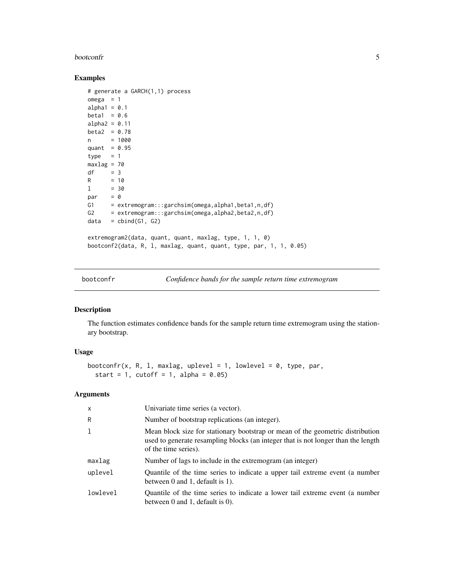#### <span id="page-4-0"></span>bootconfr 5

#### Examples

```
# generate a GARCH(1,1) process
omega = 1alpha1 = 0.1beta1 = 0.6alpha2 = 0.11beta2 = 0.78n = 1000
quant = 0.95type = 1maxlag = 70df = 3R = 101 = 30<br>par = 0
par
G1 = extremogram:::garchsim(omega,alpha1,beta1,n,df)
G2 = extremogram:::garchsim(omega,alpha2,beta2,n,df)
data = \text{cbind}(G1, G2)extremogram2(data, quant, quant, maxlag, type, 1, 1, 0)
bootconf2(data, R, l, maxlag, quant, quant, type, par, 1, 1, 0.05)
```
<span id="page-4-1"></span>

bootconfr *Confidence bands for the sample return time extremogram*

#### Description

The function estimates confidence bands for the sample return time extremogram using the stationary bootstrap.

#### Usage

```
bootconfr(x, R, 1, maxlag, uplevel = 1, lowlevel = 0, type, par,
  start = 1, cutoff = 1, alpha = 0.05)
```
#### Arguments

| $\mathsf{x}$ | Univariate time series (a vector).                                                                                                                                                          |
|--------------|---------------------------------------------------------------------------------------------------------------------------------------------------------------------------------------------|
| R            | Number of bootstrap replications (an integer).                                                                                                                                              |
|              | Mean block size for stationary bootstrap or mean of the geometric distribution<br>used to generate resampling blocks (an integer that is not longer than the length<br>of the time series). |
| maxlag       | Number of lags to include in the extremogram (an integer)                                                                                                                                   |
| uplevel      | Quantile of the time series to indicate a upper tail extreme event (a number<br>between $0$ and $1$ , default is $1$ ).                                                                     |
| lowlevel     | Quantile of the time series to indicate a lower tail extreme event (a number<br>between $0$ and $1$ , default is $0$ ).                                                                     |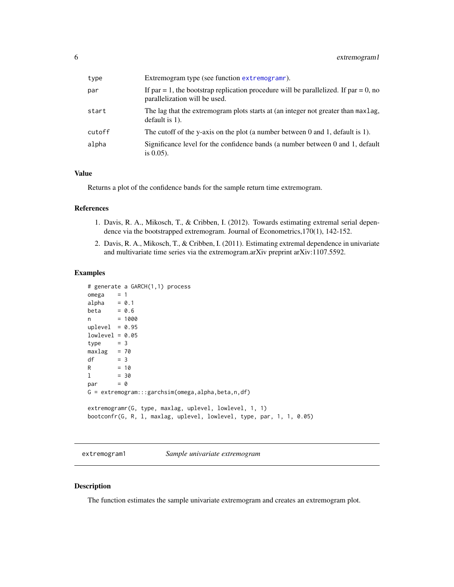<span id="page-5-0"></span>

| type   | Extremogram type (see function extremograme).                                                                         |
|--------|-----------------------------------------------------------------------------------------------------------------------|
| par    | If par = 1, the bootstrap replication procedure will be parallelized. If par = 0, no<br>parallelization will be used. |
| start  | The lag that the extremogram plots starts at (an integer not greater than maxlag,<br>default is $1$ ).                |
| cutoff | The cutoff of the y-axis on the plot (a number between 0 and 1, default is 1).                                        |
| alpha  | Significance level for the confidence bands (a number between 0 and 1, default<br>is $0.05$ ).                        |

#### Value

Returns a plot of the confidence bands for the sample return time extremogram.

#### References

- 1. Davis, R. A., Mikosch, T., & Cribben, I. (2012). Towards estimating extremal serial dependence via the bootstrapped extremogram. Journal of Econometrics,170(1), 142-152.
- 2. Davis, R. A., Mikosch, T., & Cribben, I. (2011). Estimating extremal dependence in univariate and multivariate time series via the extremogram.arXiv preprint arXiv:1107.5592.

#### Examples

```
# generate a GARCH(1,1) process
omega = 1alpha = 0.1beta = 0.6n = 1000
uplevel = 0.95lowlevel = 0.05type = 3maxlag = 70df = 3R = 101 = 30par = 0G = extremogram:::garchsim(omega,alpha,beta,n,df)
extremogramr(G, type, maxlag, uplevel, lowlevel, 1, 1)
bootconfr(G, R, l, maxlag, uplevel, lowlevel, type, par, 1, 1, 0.05)
```
<span id="page-5-1"></span>extremogram1 *Sample univariate extremogram*

#### Description

The function estimates the sample univariate extremogram and creates an extremogram plot.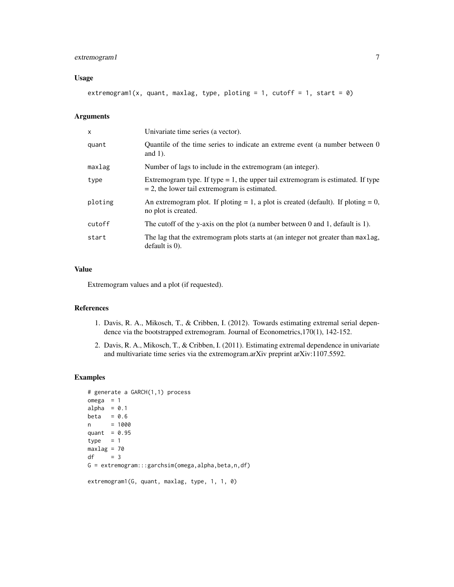#### extremogram1 7

#### Usage

extremogram1(x, quant, maxlag, type, ploting = 1, cutoff = 1, start = 0)

#### Arguments

| X       | Univariate time series (a vector).                                                                                                     |
|---------|----------------------------------------------------------------------------------------------------------------------------------------|
| quant   | Quantile of the time series to indicate an extreme event (a number between 0)<br>and $1$ ).                                            |
| maxlag  | Number of lags to include in the extremogram (an integer).                                                                             |
| type    | Extremogram type. If type $= 1$ , the upper tail extremogram is estimated. If type<br>$= 2$ , the lower tail extremogram is estimated. |
| ploting | An extremogram plot. If ploting $= 1$ , a plot is created (default). If ploting $= 0$ ,<br>no plot is created.                         |
| cutoff  | The cutoff of the y-axis on the plot (a number between 0 and 1, default is 1).                                                         |
| start   | The lag that the extremogram plots starts at (an integer not greater than maxlag,<br>$default$ is $0$ ).                               |

## Value

Extremogram values and a plot (if requested).

#### References

- 1. Davis, R. A., Mikosch, T., & Cribben, I. (2012). Towards estimating extremal serial dependence via the bootstrapped extremogram. Journal of Econometrics,170(1), 142-152.
- 2. Davis, R. A., Mikosch, T., & Cribben, I. (2011). Estimating extremal dependence in univariate and multivariate time series via the extremogram.arXiv preprint arXiv:1107.5592.

#### Examples

```
# generate a GARCH(1,1) process
omega = 1
alpha = 0.1beta = 0.6n = 1000
quant = 0.95type = 1maxlag = 70
df = 3G = extremogram:::garchsim(omega,alpha,beta,n,df)
extremogram1(G, quant, maxlag, type, 1, 1, 0)
```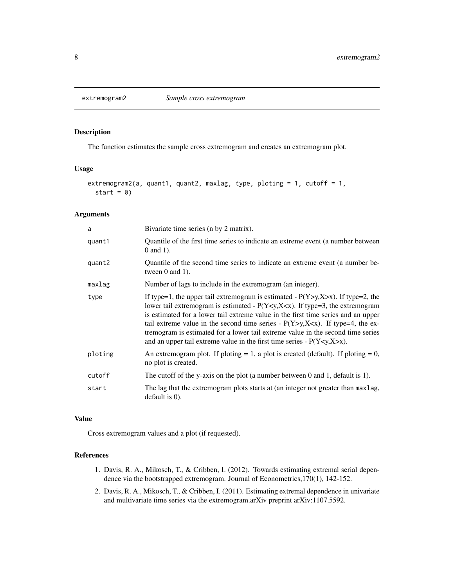<span id="page-7-1"></span><span id="page-7-0"></span>

#### Description

The function estimates the sample cross extremogram and creates an extremogram plot.

#### Usage

```
extremogram2(a, quant1, quant2, maxlag, type, ploting = 1, cutoff = 1,
  start = 0)
```
#### Arguments

| a       | Bivariate time series (n by 2 matrix).                                                                                                                                                                                                                                                                                                                                                                                                                                                                                                  |
|---------|-----------------------------------------------------------------------------------------------------------------------------------------------------------------------------------------------------------------------------------------------------------------------------------------------------------------------------------------------------------------------------------------------------------------------------------------------------------------------------------------------------------------------------------------|
| quant1  | Quantile of the first time series to indicate an extreme event (a number between<br>$0$ and 1).                                                                                                                                                                                                                                                                                                                                                                                                                                         |
| quant2  | Quantile of the second time series to indicate an extreme event (a number be-<br>tween $0$ and $1$ ).                                                                                                                                                                                                                                                                                                                                                                                                                                   |
| maxlag  | Number of lags to include in the extremogram (an integer).                                                                                                                                                                                                                                                                                                                                                                                                                                                                              |
| type    | If type=1, the upper tail extremogram is estimated - $P(Y>y, X \gt x)$ . If type=2, the<br>lower tail extremogram is estimated - $P(Y \leq y, X \leq x)$ . If type=3, the extremogram<br>is estimated for a lower tail extreme value in the first time series and an upper<br>tail extreme value in the second time series - $P(Y>y, X\le x)$ . If type=4, the ex-<br>tremogram is estimated for a lower tail extreme value in the second time series<br>and an upper tail extreme value in the first time series - $P(Y < y, X > x)$ . |
| ploting | An extremogram plot. If ploting $= 1$ , a plot is created (default). If ploting $= 0$ ,<br>no plot is created.                                                                                                                                                                                                                                                                                                                                                                                                                          |
| cutoff  | The cutoff of the y-axis on the plot (a number between $0$ and $1$ , default is $1$ ).                                                                                                                                                                                                                                                                                                                                                                                                                                                  |
| start   | The lag that the extremogram plots starts at (an integer not greater than maxlag,<br>default is $0$ ).                                                                                                                                                                                                                                                                                                                                                                                                                                  |

#### Value

Cross extremogram values and a plot (if requested).

#### References

- 1. Davis, R. A., Mikosch, T., & Cribben, I. (2012). Towards estimating extremal serial dependence via the bootstrapped extremogram. Journal of Econometrics,170(1), 142-152.
- 2. Davis, R. A., Mikosch, T., & Cribben, I. (2011). Estimating extremal dependence in univariate and multivariate time series via the extremogram.arXiv preprint arXiv:1107.5592.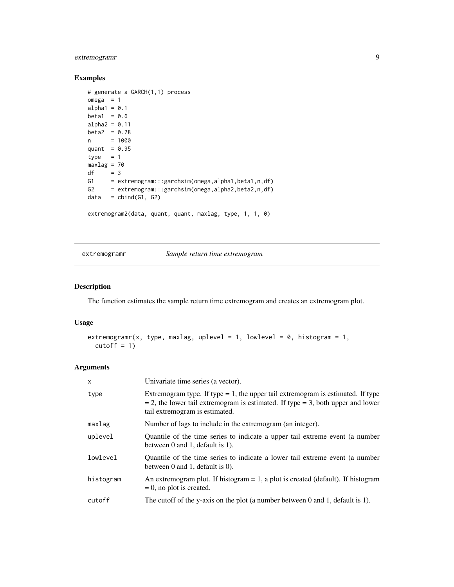## <span id="page-8-0"></span>extremogramr 9

#### Examples

```
# generate a GARCH(1,1) process
omega = 1alpha1 = 0.1beta1 = 0.6alpha2 = 0.11beta2 = 0.78n = 1000
quant = 0.95type = 1maxlag = 70
df = 3G1 = extremogram:::garchsim(omega,alpha1,beta1,n,df)
G2 = extremogram:::garchsim(omega,alpha2,beta2,n,df)
data = child(G1, G2)extremogram2(data, quant, quant, maxlag, type, 1, 1, 0)
```
<span id="page-8-1"></span>extremogramr *Sample return time extremogram*

### Description

The function estimates the sample return time extremogram and creates an extremogram plot.

#### Usage

```
extremogramr(x, type, maxlag, uplevel = 1, lowlevel = 0, histogram = 1,
 cutoff = 1)
```
#### Arguments

| X         | Univariate time series (a vector).                                                                                                                                                                          |
|-----------|-------------------------------------------------------------------------------------------------------------------------------------------------------------------------------------------------------------|
| type      | Extremogram type. If type $= 1$ , the upper tail extremogram is estimated. If type<br>$=$ 2, the lower tail extremogram is estimated. If type $=$ 3, both upper and lower<br>tail extremogram is estimated. |
| maxlag    | Number of lags to include in the extremogram (an integer).                                                                                                                                                  |
| uplevel   | Quantile of the time series to indicate a upper tail extreme event (a number<br>between 0 and 1, default is 1).                                                                                             |
| lowlevel  | Quantile of the time series to indicate a lower tail extreme event (a number<br>between $0$ and $1$ , default is $0$ ).                                                                                     |
| histogram | An extremogram plot. If histogram $= 1$ , a plot is created (default). If histogram<br>$= 0$ , no plot is created.                                                                                          |
| cutoff    | The cutoff of the y-axis on the plot (a number between 0 and 1, default is 1).                                                                                                                              |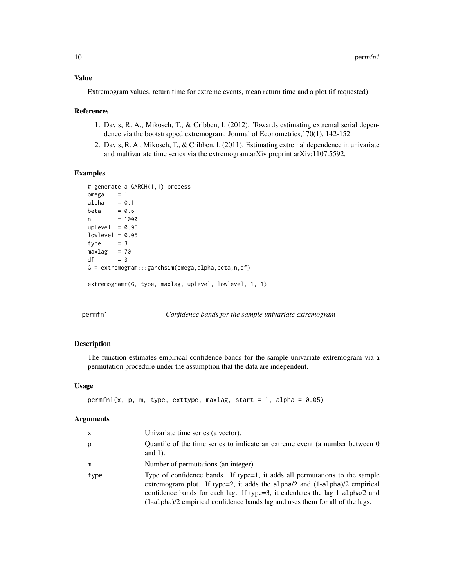#### <span id="page-9-0"></span>Value

Extremogram values, return time for extreme events, mean return time and a plot (if requested).

#### References

- 1. Davis, R. A., Mikosch, T., & Cribben, I. (2012). Towards estimating extremal serial dependence via the bootstrapped extremogram. Journal of Econometrics,170(1), 142-152.
- 2. Davis, R. A., Mikosch, T., & Cribben, I. (2011). Estimating extremal dependence in univariate and multivariate time series via the extremogram.arXiv preprint arXiv:1107.5592.

#### Examples

```
# generate a GARCH(1,1) process
omega = 1alpha = 0.1beta = 0.6n = 1000
uplevel = 0.95lowlevel = 0.05type = 3maxlag = 70df = 3G = extremogram:::garchsim(omega,alpha,beta,n,df)
extremogramr(G, type, maxlag, uplevel, lowlevel, 1, 1)
```
<span id="page-9-1"></span>permfn1 *Confidence bands for the sample univariate extremogram*

#### Description

The function estimates empirical confidence bands for the sample univariate extremogram via a permutation procedure under the assumption that the data are independent.

#### Usage

```
permfn1(x, p, m, type, exttype, maxlag, start = 1, alpha = 0.05)
```
#### Arguments

| $\mathsf{x}$ | Univariate time series (a vector).                                                                                                                                                                                                                                                                                               |
|--------------|----------------------------------------------------------------------------------------------------------------------------------------------------------------------------------------------------------------------------------------------------------------------------------------------------------------------------------|
| p            | Quantile of the time series to indicate an extreme event (a number between 0<br>and $1$ ).                                                                                                                                                                                                                                       |
| m            | Number of permutations (an integer).                                                                                                                                                                                                                                                                                             |
| type         | Type of confidence bands. If type=1, it adds all permutations to the sample<br>extremogram plot. If type=2, it adds the alpha $/2$ and $(1-a1pha)/2$ empirical<br>confidence bands for each lag. If type=3, it calculates the lag 1 alpha/2 and<br>(1-alpha)/2 empirical confidence bands lag and uses them for all of the lags. |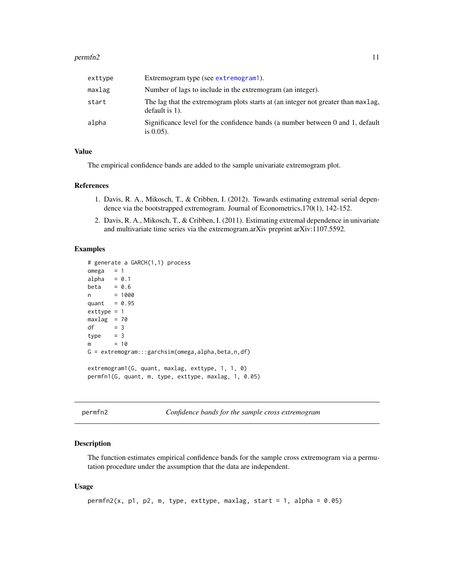#### <span id="page-10-0"></span> $permf2$  11

| exttype | Extremogram type (see extremogram1).                                                                   |
|---------|--------------------------------------------------------------------------------------------------------|
| maxlag  | Number of lags to include in the extremogram (an integer).                                             |
| start   | The lag that the extremogram plots starts at (an integer not greater than maxlag,<br>default is $1$ ). |
| alpha   | Significance level for the confidence bands (a number between 0 and 1, default<br>is $0.05$ ).         |

#### Value

The empirical confidence bands are added to the sample univariate extremogram plot.

#### References

- 1. Davis, R. A., Mikosch, T., & Cribben, I. (2012). Towards estimating extremal serial dependence via the bootstrapped extremogram. Journal of Econometrics,170(1), 142-152.
- 2. Davis, R. A., Mikosch, T., & Cribben, I. (2011). Estimating extremal dependence in univariate and multivariate time series via the extremogram.arXiv preprint arXiv:1107.5592.

#### Examples

```
# generate a GARCH(1,1) process
omega = 1alpha = 0.1beta = 0.6n = 1000
quant = 0.95exttype = 1maxlag = 70df = 3type = 3m = 10G = extremogram:::garchsim(omega,alpha,beta,n,df)
extremogram1(G, quant, maxlag, exttype, 1, 1, 0)
permfn1(G, quant, m, type, exttype, maxlag, 1, 0.05)
```
<span id="page-10-1"></span>permfn2 *Confidence bands for the sample cross extremogram*

#### Description

The function estimates empirical confidence bands for the sample cross extremogram via a permutation procedure under the assumption that the data are independent.

#### Usage

```
permfn2(x, p1, p2, m, type, exttype, maxlag, start = 1, alpha = 0.05)
```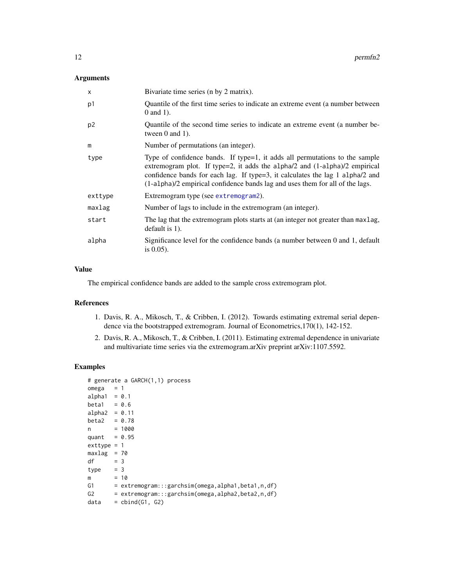#### <span id="page-11-0"></span>Arguments

| X              | Bivariate time series (n by 2 matrix).                                                                                                                                                                                                                                                                                        |
|----------------|-------------------------------------------------------------------------------------------------------------------------------------------------------------------------------------------------------------------------------------------------------------------------------------------------------------------------------|
| p1             | Quantile of the first time series to indicate an extreme event (a number between<br>$0$ and $1$ ).                                                                                                                                                                                                                            |
| p <sub>2</sub> | Quantile of the second time series to indicate an extreme event (a number be-<br>tween $0$ and $1$ ).                                                                                                                                                                                                                         |
| m              | Number of permutations (an integer).                                                                                                                                                                                                                                                                                          |
| type           | Type of confidence bands. If type=1, it adds all permutations to the sample<br>extremogram plot. If type=2, it adds the alpha/2 and $(1-a1pha)/2$ empirical<br>confidence bands for each lag. If type=3, it calculates the lag 1 alpha/2 and<br>(1-alpha)/2 empirical confidence bands lag and uses them for all of the lags. |
| exttype        | Extremogram type (see extremogram2).                                                                                                                                                                                                                                                                                          |
| maxlag         | Number of lags to include in the extremogram (an integer).                                                                                                                                                                                                                                                                    |
| start          | The lag that the extremogram plots starts at (an integer not greater than maxlag,<br>default is $1$ ).                                                                                                                                                                                                                        |
| alpha          | Significance level for the confidence bands (a number between 0 and 1, default<br>is $0.05$ ).                                                                                                                                                                                                                                |

## Value

The empirical confidence bands are added to the sample cross extremogram plot.

#### References

- 1. Davis, R. A., Mikosch, T., & Cribben, I. (2012). Towards estimating extremal serial dependence via the bootstrapped extremogram. Journal of Econometrics,170(1), 142-152.
- 2. Davis, R. A., Mikosch, T., & Cribben, I. (2011). Estimating extremal dependence in univariate and multivariate time series via the extremogram.arXiv preprint arXiv:1107.5592.

## Examples

|                 | # generate a GARCH(1,1) process                               |
|-----------------|---------------------------------------------------------------|
| $omega = 1$     |                                                               |
| alpha1 = $0.1$  |                                                               |
| $beta1 = 0.6$   |                                                               |
| $alpha2 = 0.11$ |                                                               |
| $beta2 = 0.78$  |                                                               |
| n               | $= 1000$                                                      |
| quant = $0.95$  |                                                               |
| $exttype = 1$   |                                                               |
| $maxlag = 70$   |                                                               |
| $= 3$<br>df     |                                                               |
| $type = 3$      |                                                               |
| m               | $= 10$                                                        |
|                 | G1 = extremogram:::garchsim(omega,alpha1,beta1,n,df)          |
|                 | $G2 = extremogram::garchsim(omega,alpha),beta2,beta2, n, df)$ |
| data            | = cbind(G1, G2)                                               |
|                 |                                                               |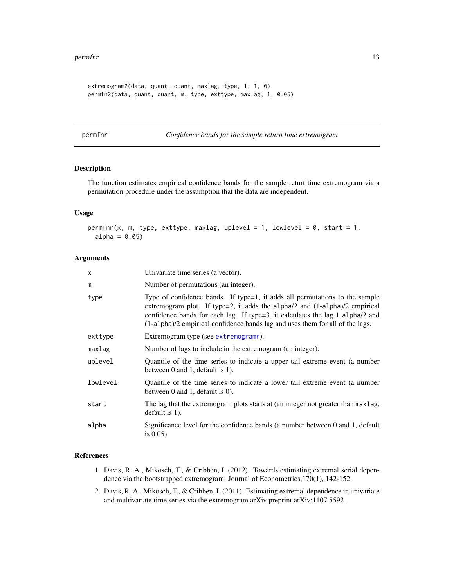#### <span id="page-12-0"></span>permfnr to the contract of the contract of the contract of the contract of the contract of the contract of the contract of the contract of the contract of the contract of the contract of the contract of the contract of the

```
extremogram2(data, quant, quant, maxlag, type, 1, 1, 0)
permfn2(data, quant, quant, m, type, exttype, maxlag, 1, 0.05)
```
<span id="page-12-1"></span>permfnr *Confidence bands for the sample return time extremogram*

#### Description

The function estimates empirical confidence bands for the sample returt time extremogram via a permutation procedure under the assumption that the data are independent.

#### Usage

```
permfnr(x, m, type, exttype, maxlag, uplevel = 1, lowlevel = 0, start = 1,
 alpha = 0.05)
```
#### **Arguments**

| x        | Univariate time series (a vector).                                                                                                                                                                                                                                                                                          |
|----------|-----------------------------------------------------------------------------------------------------------------------------------------------------------------------------------------------------------------------------------------------------------------------------------------------------------------------------|
| m        | Number of permutations (an integer).                                                                                                                                                                                                                                                                                        |
| type     | Type of confidence bands. If type=1, it adds all permutations to the sample<br>extremogram plot. If type=2, it adds the alpha/2 and (1-alpha)/2 empirical<br>confidence bands for each lag. If type=3, it calculates the lag 1 alpha/2 and<br>(1-alpha)/2 empirical confidence bands lag and uses them for all of the lags. |
| exttype  | Extremogram type (see extremogramr).                                                                                                                                                                                                                                                                                        |
| maxlag   | Number of lags to include in the extremogram (an integer).                                                                                                                                                                                                                                                                  |
| uplevel  | Quantile of the time series to indicate a upper tail extreme event (a number<br>between $0$ and $1$ , default is $1$ ).                                                                                                                                                                                                     |
| lowlevel | Quantile of the time series to indicate a lower tail extreme event (a number<br>between $0$ and $1$ , default is $0$ ).                                                                                                                                                                                                     |
| start    | The lag that the extremogram plots starts at (an integer not greater than maxlag,<br>default is $1$ ).                                                                                                                                                                                                                      |
| alpha    | Significance level for the confidence bands (a number between 0 and 1, default<br>is $0.05$ ).                                                                                                                                                                                                                              |

#### References

- 1. Davis, R. A., Mikosch, T., & Cribben, I. (2012). Towards estimating extremal serial dependence via the bootstrapped extremogram. Journal of Econometrics,170(1), 142-152.
- 2. Davis, R. A., Mikosch, T., & Cribben, I. (2011). Estimating extremal dependence in univariate and multivariate time series via the extremogram.arXiv preprint arXiv:1107.5592.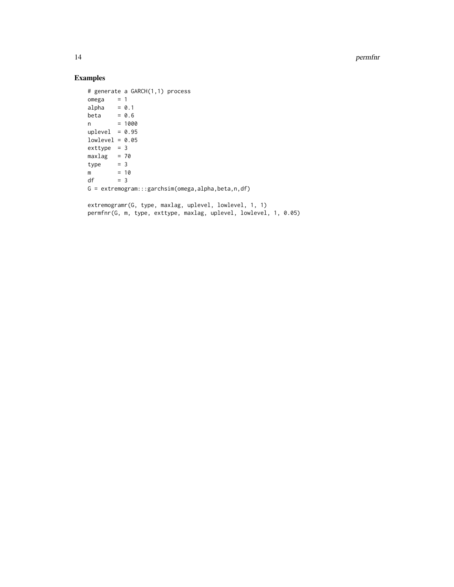14 permfnr

## Examples

```
# generate a GARCH(1,1) process
omega = 1alpha = 0.1beta = 0.6n = 1000uplevel = 0.95lowlevel = 0.05extype = 3maxlag = 70type = 3m = 10
df = 3G = extremogram:::garchsim(omega,alpha,beta,n,df)
```

```
extremogramr(G, type, maxlag, uplevel, lowlevel, 1, 1)
permfnr(G, m, type, exttype, maxlag, uplevel, lowlevel, 1, 0.05)
```